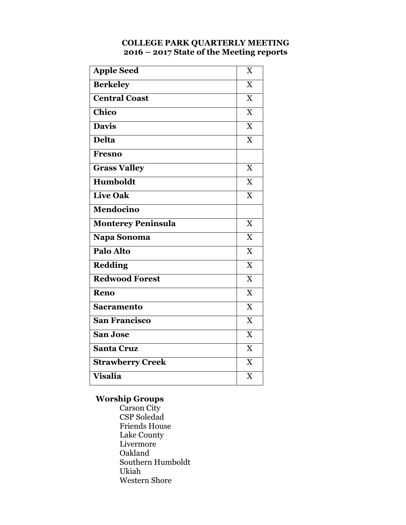### **COLLEGE PARK QUARTERLY MEETING 2016 – 2017 State of the Meeting reports**

| <b>Apple Seed</b>         | X                       |
|---------------------------|-------------------------|
| <b>Berkeley</b>           | X                       |
| <b>Central Coast</b>      | X                       |
| Chico                     | $\overline{X}$          |
| <b>Davis</b>              | $\overline{\mathbf{X}}$ |
| <b>Delta</b>              | X                       |
| <b>Fresno</b>             |                         |
| <b>Grass Valley</b>       | X                       |
| <b>Humboldt</b>           | X                       |
| <b>Live Oak</b>           | $\overline{\mathbf{X}}$ |
| <b>Mendocino</b>          |                         |
| <b>Monterey Peninsula</b> | X                       |
| Napa Sonoma               | $\overline{\text{X}}$   |
| Palo Alto                 | X                       |
| <b>Redding</b>            | $\overline{X}$          |
| <b>Redwood Forest</b>     | $\overline{\mathbf{X}}$ |
| Reno                      | X                       |
| <b>Sacramento</b>         | $\overline{\text{X}}$   |
| <b>San Francisco</b>      | $\overline{\text{X}}$   |
| <b>San Jose</b>           | X                       |
| <b>Santa Cruz</b>         | $\overline{X}$          |
| <b>Strawberry Creek</b>   | X                       |
| <b>Visalia</b>            | $\overline{X}$          |

### **Worship Groups**

Carson City CSP Soledad Friends House Lake County Livermore Oakland Southern Humboldt Ukiah Western Shore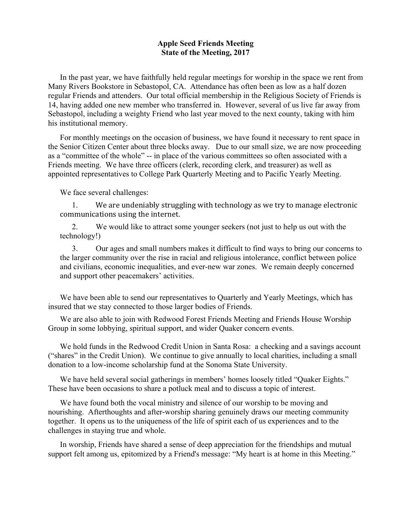#### **Apple Seed Friends Meeting State of the Meeting, 2017**

In the past year, we have faithfully held regular meetings for worship in the space we rent from Many Rivers Bookstore in Sebastopol, CA. Attendance has often been as low as a half dozen regular Friends and attenders. Our total official membership in the Religious Society of Friends is 14, having added one new member who transferred in. However, several of us live far away from Sebastopol, including a weighty Friend who last year moved to the next county, taking with him his institutional memory.

For monthly meetings on the occasion of business, we have found it necessary to rent space in the Senior Citizen Center about three blocks away. Due to our small size, we are now proceeding as a "committee of the whole" -- in place of the various committees so often associated with a Friends meeting. We have three officers (clerk, recording clerk, and treasurer) as well as appointed representatives to College Park Quarterly Meeting and to Pacific Yearly Meeting.

We face several challenges:

1. We are undeniably struggling with technology as we try to manage electronic communications using the internet.

2. We would like to attract some younger seekers (not just to help us out with the technology!)

3. Our ages and small numbers makes it difficult to find ways to bring our concerns to the larger community over the rise in racial and religious intolerance, conflict between police and civilians, economic inequalities, and ever-new war zones. We remain deeply concerned and support other peacemakers' activities.

We have been able to send our representatives to Quarterly and Yearly Meetings, which has insured that we stay connected to those larger bodies of Friends.

We are also able to join with Redwood Forest Friends Meeting and Friends House Worship Group in some lobbying, spiritual support, and wider Quaker concern events.

We hold funds in the Redwood Credit Union in Santa Rosa: a checking and a savings account ("shares" in the Credit Union). We continue to give annually to local charities, including a small donation to a low-income scholarship fund at the Sonoma State University.

We have held several social gatherings in members' homes loosely titled "Quaker Eights." These have been occasions to share a potluck meal and to discuss a topic of interest.

We have found both the vocal ministry and silence of our worship to be moving and nourishing. Afterthoughts and after-worship sharing genuinely draws our meeting community together. It opens us to the uniqueness of the life of spirit each of us experiences and to the challenges in staying true and whole.

In worship, Friends have shared a sense of deep appreciation for the friendships and mutual support felt among us, epitomized by a Friend's message: "My heart is at home in this Meeting."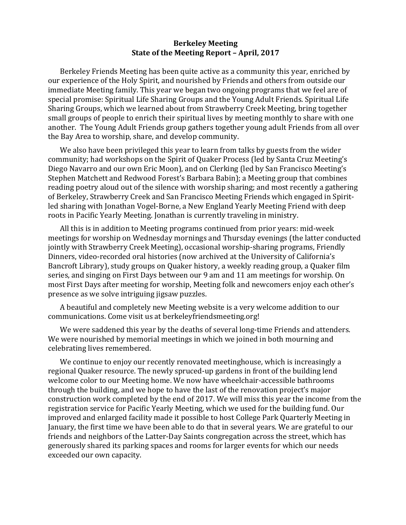### **Berkeley Meeting State of the Meeting Report - April, 2017**

Berkeley Friends Meeting has been quite active as a community this year, enriched by our experience of the Holy Spirit, and nourished by Friends and others from outside our immediate Meeting family. This year we began two ongoing programs that we feel are of special promise: Spiritual Life Sharing Groups and the Young Adult Friends. Spiritual Life Sharing Groups, which we learned about from Strawberry Creek Meeting, bring together small groups of people to enrich their spiritual lives by meeting monthly to share with one another. The Young Adult Friends group gathers together young adult Friends from all over the Bay Area to worship, share, and develop community.

We also have been privileged this year to learn from talks by guests from the wider community; had workshops on the Spirit of Quaker Process (led by Santa Cruz Meeting's Diego Navarro and our own Eric Moon), and on Clerking (led by San Francisco Meeting's Stephen Matchett and Redwood Forest's Barbara Babin); a Meeting group that combines reading poetry aloud out of the silence with worship sharing; and most recently a gathering of Berkeley, Strawberry Creek and San Francisco Meeting Friends which engaged in Spiritled sharing with Jonathan Vogel-Borne, a New England Yearly Meeting Friend with deep roots in Pacific Yearly Meeting. Jonathan is currently traveling in ministry.

All this is in addition to Meeting programs continued from prior years: mid-week meetings for worship on Wednesday mornings and Thursday evenings (the latter conducted jointly with Strawberry Creek Meeting), occasional worship-sharing programs, Friendly Dinners, video-recorded oral histories (now archived at the University of California's Bancroft Library), study groups on Quaker history, a weekly reading group, a Quaker film series, and singing on First Days between our 9 am and 11 am meetings for worship. On most First Days after meeting for worship, Meeting folk and newcomers enjoy each other's presence as we solve intriguing jigsaw puzzles.

A beautiful and completely new Meeting website is a very welcome addition to our communications. Come visit us at berkeleyfriendsmeeting.org!

We were saddened this year by the deaths of several long-time Friends and attenders. We were nourished by memorial meetings in which we joined in both mourning and celebrating lives remembered.

We continue to enjoy our recently renovated meetinghouse, which is increasingly a regional Quaker resource. The newly spruced-up gardens in front of the building lend welcome color to our Meeting home. We now have wheelchair-accessible bathrooms through the building, and we hope to have the last of the renovation project's major construction work completed by the end of 2017. We will miss this year the income from the registration service for Pacific Yearly Meeting, which we used for the building fund. Our improved and enlarged facility made it possible to host College Park Quarterly Meeting in January, the first time we have been able to do that in several years. We are grateful to our friends and neighbors of the Latter-Day Saints congregation across the street, which has generously shared its parking spaces and rooms for larger events for which our needs exceeded our own capacity.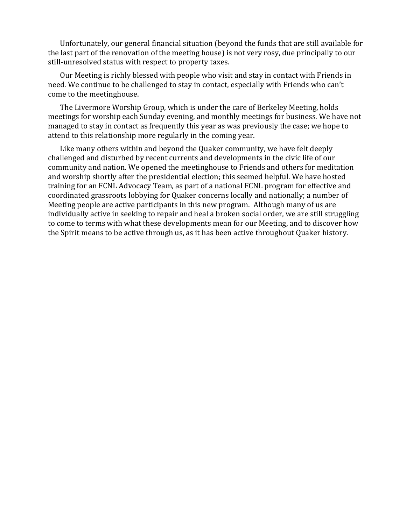Unfortunately, our general financial situation (beyond the funds that are still available for the last part of the renovation of the meeting house) is not very rosy, due principally to our still-unresolved status with respect to property taxes.

Our Meeting is richly blessed with people who visit and stay in contact with Friends in need. We continue to be challenged to stay in contact, especially with Friends who can't come to the meetinghouse.

The Livermore Worship Group, which is under the care of Berkeley Meeting, holds meetings for worship each Sunday evening, and monthly meetings for business. We have not managed to stay in contact as frequently this year as was previously the case; we hope to attend to this relationship more regularly in the coming year.

Like many others within and beyond the Quaker community, we have felt deeply challenged and disturbed by recent currents and developments in the civic life of our community and nation. We opened the meetinghouse to Friends and others for meditation and worship shortly after the presidential election; this seemed helpful. We have hosted training for an FCNL Advocacy Team, as part of a national FCNL program for effective and coordinated grassroots lobbying for Quaker concerns locally and nationally; a number of Meeting people are active participants in this new program. Although many of us are individually active in seeking to repair and heal a broken social order, we are still struggling to come to terms with what these developments mean for our Meeting, and to discover how the Spirit means to be active through us, as it has been active throughout Quaker history.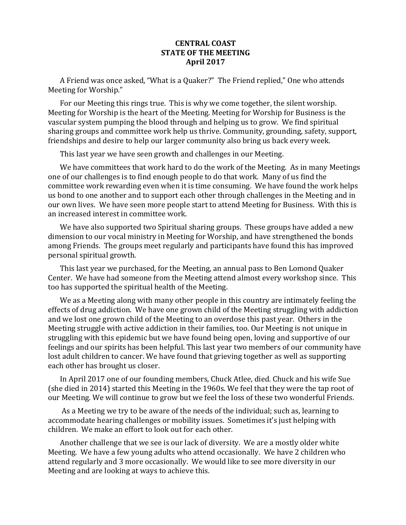### **CENTRAL COAST STATE OF THE MEETING April 2017**

A Friend was once asked, "What is a Quaker?" The Friend replied," One who attends Meeting for Worship."

For our Meeting this rings true. This is why we come together, the silent worship. Meeting for Worship is the heart of the Meeting. Meeting for Worship for Business is the vascular system pumping the blood through and helping us to grow. We find spiritual sharing groups and committee work help us thrive. Community, grounding, safety, support, friendships and desire to help our larger community also bring us back every week.

This last year we have seen growth and challenges in our Meeting.

We have committees that work hard to do the work of the Meeting. As in many Meetings one of our challenges is to find enough people to do that work. Many of us find the committee work rewarding even when it is time consuming. We have found the work helps us bond to one another and to support each other through challenges in the Meeting and in our own lives. We have seen more people start to attend Meeting for Business. With this is an increased interest in committee work.

We have also supported two Spiritual sharing groups. These groups have added a new dimension to our vocal ministry in Meeting for Worship, and have strengthened the bonds among Friends. The groups meet regularly and participants have found this has improved personal spiritual growth.

This last year we purchased, for the Meeting, an annual pass to Ben Lomond Quaker Center. We have had someone from the Meeting attend almost every workshop since. This too has supported the spiritual health of the Meeting.

We as a Meeting along with many other people in this country are intimately feeling the effects of drug addiction. We have one grown child of the Meeting struggling with addiction and we lost one grown child of the Meeting to an overdose this past year. Others in the Meeting struggle with active addiction in their families, too. Our Meeting is not unique in struggling with this epidemic but we have found being open, loving and supportive of our feelings and our spirits has been helpful. This last year two members of our community have lost adult children to cancer. We have found that grieving together as well as supporting each other has brought us closer.

In April 2017 one of our founding members, Chuck Atlee, died. Chuck and his wife Sue (she died in 2014) started this Meeting in the 1960s. We feel that they were the tap root of our Meeting. We will continue to grow but we feel the loss of these two wonderful Friends.

As a Meeting we try to be aware of the needs of the individual; such as, learning to accommodate hearing challenges or mobility issues. Sometimes it's just helping with children. We make an effort to look out for each other.

Another challenge that we see is our lack of diversity. We are a mostly older white Meeting. We have a few young adults who attend occasionally. We have 2 children who attend regularly and 3 more occasionally. We would like to see more diversity in our Meeting and are looking at ways to achieve this.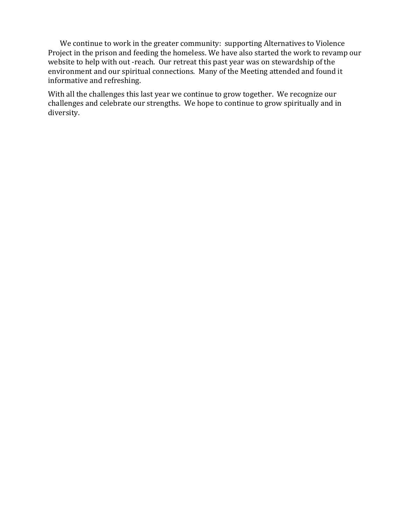We continue to work in the greater community: supporting Alternatives to Violence Project in the prison and feeding the homeless. We have also started the work to revamp our website to help with out -reach. Our retreat this past year was on stewardship of the environment and our spiritual connections. Many of the Meeting attended and found it informative and refreshing.

With all the challenges this last year we continue to grow together. We recognize our challenges and celebrate our strengths. We hope to continue to grow spiritually and in diversity.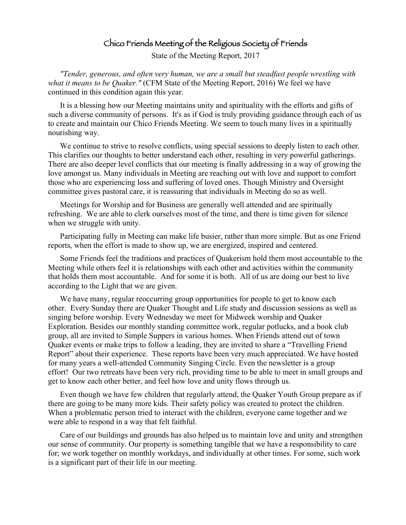# Chico Friends Meeting of the Religious Society of Friends

State of the Meeting Report, 2017

*"Tender, generous, and often very human, we are a small but steadfast people wrestling with what it means to be Quaker."* (CFM State of the Meeting Report, 2016) We feel we have continued in this condition again this year.

It is a blessing how our Meeting maintains unity and spirituality with the efforts and gifts of such a diverse community of persons. It's as if God is truly providing guidance through each of us to create and maintain our Chico Friends Meeting. We seem to touch many lives in a spiritually nourishing way.

We continue to strive to resolve conflicts, using special sessions to deeply listen to each other. This clarifies our thoughts to better understand each other, resulting in very powerful gatherings. There are also deeper level conflicts that our meeting is finally addressing in a way of growing the love amongst us. Many individuals in Meeting are reaching out with love and support to comfort those who are experiencing loss and suffering of loved ones. Though Ministry and Oversight committee gives pastoral care, it is reassuring that individuals in Meeting do so as well.

Meetings for Worship and for Business are generally well attended and are spiritually refreshing. We are able to clerk ourselves most of the time, and there is time given for silence when we struggle with unity.

Participating fully in Meeting can make life busier, rather than more simple. But as one Friend reports, when the effort is made to show up, we are energized, inspired and centered.

Some Friends feel the traditions and practices of Quakerism hold them most accountable to the Meeting while others feel it is relationships with each other and activities within the community that holds them most accountable. And for some it is both. All of us are doing our best to live according to the Light that we are given.

We have many, regular reoccurring group opportunities for people to get to know each other. Every Sunday there are Quaker Thought and Life study and discussion sessions as well as singing before worship. Every Wednesday we meet for Midweek worship and Quaker Exploration. Besides our monthly standing committee work, regular potlucks, and a book club group, all are invited to Simple Suppers in various homes. When Friends attend out of town Quaker events or make trips to follow a leading, they are invited to share a "Travelling Friend Report" about their experience. These reports have been very much appreciated. We have hosted for many years a well-attended Community Singing Circle. Even the newsletter is a group effort! Our two retreats have been very rich, providing time to be able to meet in small groups and get to know each other better, and feel how love and unity flows through us.

Even though we have few children that regularly attend, the Quaker Youth Group prepare as if there are going to be many more kids. Their safety policy was created to protect the children. When a problematic person tried to interact with the children, everyone came together and we were able to respond in a way that felt faithful.

Care of our buildings and grounds has also helped us to maintain love and unity and strengthen our sense of community. Our property is something tangible that we have a responsibility to care for; we work together on monthly workdays, and individually at other times. For some, such work is a significant part of their life in our meeting.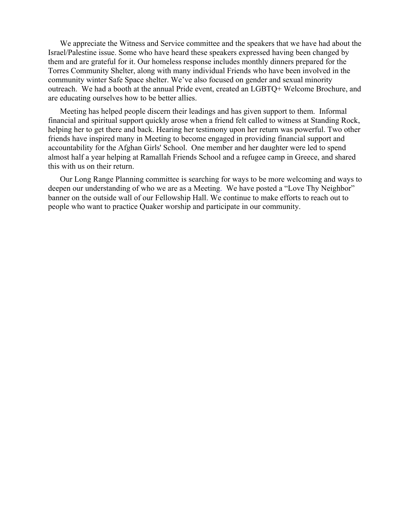We appreciate the Witness and Service committee and the speakers that we have had about the Israel/Palestine issue. Some who have heard these speakers expressed having been changed by them and are grateful for it. Our homeless response includes monthly dinners prepared for the Torres Community Shelter, along with many individual Friends who have been involved in the community winter Safe Space shelter. We've also focused on gender and sexual minority outreach. We had a booth at the annual Pride event, created an LGBTQ+ Welcome Brochure, and are educating ourselves how to be better allies.

Meeting has helped people discern their leadings and has given support to them. Informal financial and spiritual support quickly arose when a friend felt called to witness at Standing Rock, helping her to get there and back. Hearing her testimony upon her return was powerful. Two other friends have inspired many in Meeting to become engaged in providing financial support and accountability for the Afghan Girls' School. One member and her daughter were led to spend almost half a year helping at Ramallah Friends School and a refugee camp in Greece, and shared this with us on their return.

Our Long Range Planning committee is searching for ways to be more welcoming and ways to deepen our understanding of who we are as a Meeting. We have posted a "Love Thy Neighbor" banner on the outside wall of our Fellowship Hall. We continue to make efforts to reach out to people who want to practice Quaker worship and participate in our community.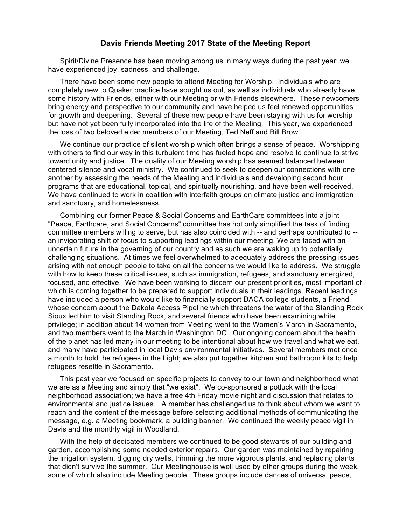#### **Davis Friends Meeting 2017 State of the Meeting Report**

Spirit/Divine Presence has been moving among us in many ways during the past year; we have experienced joy, sadness, and challenge.

There have been some new people to attend Meeting for Worship. Individuals who are completely new to Quaker practice have sought us out, as well as individuals who already have some history with Friends, either with our Meeting or with Friends elsewhere. These newcomers bring energy and perspective to our community and have helped us feel renewed opportunities for growth and deepening. Several of these new people have been staying with us for worship but have not yet been fully incorporated into the life of the Meeting. This year, we experienced the loss of two beloved elder members of our Meeting, Ted Neff and Bill Brow.

We continue our practice of silent worship which often brings a sense of peace. Worshipping with others to find our way in this turbulent time has fueled hope and resolve to continue to strive toward unity and justice. The quality of our Meeting worship has seemed balanced between centered silence and vocal ministry. We continued to seek to deepen our connections with one another by assessing the needs of the Meeting and individuals and developing second hour programs that are educational, topical, and spiritually nourishing, and have been well-received. We have continued to work in coalition with interfaith groups on climate justice and immigration and sanctuary, and homelessness.

Combining our former Peace & Social Concerns and EarthCare committees into a joint "Peace, Earthcare, and Social Concerns" committee has not only simplified the task of finding committee members willing to serve, but has also coincided with -- and perhaps contributed to - an invigorating shift of focus to supporting leadings within our meeting. We are faced with an uncertain future in the governing of our country and as such we are waking up to potentially challenging situations. At times we feel overwhelmed to adequately address the pressing issues arising with not enough people to take on all the concerns we would like to address. We struggle with how to keep these critical issues, such as immigration, refugees, and sanctuary energized, focused, and effective. We have been working to discern our present priorities, most important of which is coming together to be prepared to support individuals in their leadings. Recent leadings have included a person who would like to financially support DACA college students, a Friend whose concern about the Dakota Access Pipeline which threatens the water of the Standing Rock Sioux led him to visit Standing Rock, and several friends who have been examining white privilege; in addition about 14 women from Meeting went to the Women's March in Sacramento, and two members went to the March in Washington DC. Our ongoing concern about the health of the planet has led many in our meeting to be intentional about how we travel and what we eat, and many have participated in local Davis environmental initiatives. Several members met once a month to hold the refugees in the Light; we also put together kitchen and bathroom kits to help refugees resettle in Sacramento.

This past year we focused on specific projects to convey to our town and neighborhood what we are as a Meeting and simply that "we exist". We co-sponsored a potluck with the local neighborhood association; we have a free 4th Friday movie night and discussion that relates to environmental and justice issues. A member has challenged us to think about whom we want to reach and the content of the message before selecting additional methods of communicating the message, e.g. a Meeting bookmark, a building banner. We continued the weekly peace vigil in Davis and the monthly vigil in Woodland.

With the help of dedicated members we continued to be good stewards of our building and garden, accomplishing some needed exterior repairs. Our garden was maintained by repairing the irrigation system, digging dry wells, trimming the more vigorous plants, and replacing plants that didn't survive the summer. Our Meetinghouse is well used by other groups during the week, some of which also include Meeting people. These groups include dances of universal peace,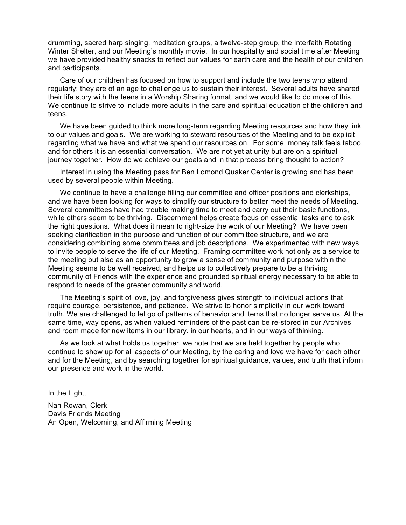drumming, sacred harp singing, meditation groups, a twelve-step group, the Interfaith Rotating Winter Shelter, and our Meeting's monthly movie. In our hospitality and social time after Meeting we have provided healthy snacks to reflect our values for earth care and the health of our children and participants.

Care of our children has focused on how to support and include the two teens who attend regularly; they are of an age to challenge us to sustain their interest. Several adults have shared their life story with the teens in a Worship Sharing format, and we would like to do more of this. We continue to strive to include more adults in the care and spiritual education of the children and teens.

We have been guided to think more long-term regarding Meeting resources and how they link to our values and goals. We are working to steward resources of the Meeting and to be explicit regarding what we have and what we spend our resources on. For some, money talk feels taboo, and for others it is an essential conversation. We are not yet at unity but are on a spiritual journey together. How do we achieve our goals and in that process bring thought to action?

Interest in using the Meeting pass for Ben Lomond Quaker Center is growing and has been used by several people within Meeting.

We continue to have a challenge filling our committee and officer positions and clerkships, and we have been looking for ways to simplify our structure to better meet the needs of Meeting. Several committees have had trouble making time to meet and carry out their basic functions, while others seem to be thriving. Discernment helps create focus on essential tasks and to ask the right questions. What does it mean to right-size the work of our Meeting? We have been seeking clarification in the purpose and function of our committee structure, and we are considering combining some committees and job descriptions. We experimented with new ways to invite people to serve the life of our Meeting. Framing committee work not only as a service to the meeting but also as an opportunity to grow a sense of community and purpose within the Meeting seems to be well received, and helps us to collectively prepare to be a thriving community of Friends with the experience and grounded spiritual energy necessary to be able to respond to needs of the greater community and world.

The Meeting's spirit of love, joy, and forgiveness gives strength to individual actions that require courage, persistence, and patience. We strive to honor simplicity in our work toward truth. We are challenged to let go of patterns of behavior and items that no longer serve us. At the same time, way opens, as when valued reminders of the past can be re-stored in our Archives and room made for new items in our library, in our hearts, and in our ways of thinking.

As we look at what holds us together, we note that we are held together by people who continue to show up for all aspects of our Meeting, by the caring and love we have for each other and for the Meeting, and by searching together for spiritual guidance, values, and truth that inform our presence and work in the world.

In the Light,

Nan Rowan, Clerk Davis Friends Meeting An Open, Welcoming, and Affirming Meeting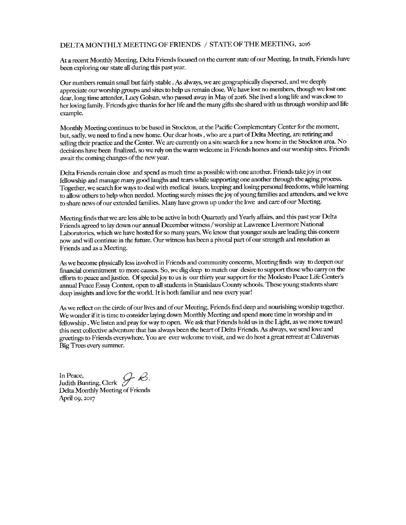#### DELTA MONTHLY MEETING OF FRIENDS / STATE OF THE MEETING, 2016

At a recent Monthly Meeting, Delta Friends focused on the current state of our Meeting. In truth, Friends have been exploring our state all during this past year.

Our numbers remain small but fairly stable . As always, we are geographically dispersed, and we deeply appreciate our worship groups and sites to help us remain close. We have lost no members, though we lost one dear, long time attender, Lucy Golsan, who passed away in May of 2016. She lived a long life and was close to her loving family. Friends give thanks for her life and the many gifts she shared with us through worship and life example.

Monthly Meeting continues to be based in Stockton, at the Pacific Complementary Center for the moment, but, sadly, we need to find a new home. Our dear hosts, who are a part of Delta Meeting, are retiring and selling their practice and the Center. We are currently on a site search for a new home in the Stockton area. No decisions have been finalized, so we rely on the warm welcome in Friends homes and our worship sites. Friends await the coming changes of the new year.

Delta Friends remain close and spend as much time as possible with one another. Friends take joy in our fellowship and manage many good laughs and tears while supporting one another through the aging process. Together, we search for ways to deal with medical issues, keeping and losing personal freedoms, while learning to allow others to help when needed. Meeting surely misses the joy of young families and attenders, and we love to share news of our extended families. Many have grown up under the love and care of our Meeting.

Meeting finds that we are less able to be active in both Quarterly and Yearly affairs, and this past year Delta Friends agreed to lay down our annual December witness / worship at Lawrence Livermore National Laboratories, which we have hosted for so many years. We know that younger souls are leading this concern now and will continue in the future. Our witness has been a pivotal part of our strength and resolution as Friends and as a Meeting.

As we become physically less involved in Friends and community concerns, Meeting finds way to deepen our financial commitment to more causes. So, we dig deep to match our desire to support those who carry on the efforts to peace and justice. Of special joy to us is our thirty year support for the Modesto Peace Life Center's annual Peace Essay Contest, open to all students in Stanislaus County schools. These young students share deep insights and love for the world. It is both familiar and new every year!

As we reflect on the circle of our lives and of our Meeting, Friends find deep and nourishing worship together. We wonder if it is time to consider laying down Monthly Meeting and spend more time in worship and in fellowship . We listen and pray for way to open. We ask that Friends hold us in the Light, as we move toward this next collective adventure that has always been the heart of Delta Friends. As always, we send love and greetings to Friends everywhere. You are ever welcome to visit, and we do host a great retreat at Calaversas Big Trees every summer.

Judith Bunting, Clerk  $\mathcal{G}$ .<br>Delta Marcia In Peace, Delta Monthly Meeting of Friends April 09, 2017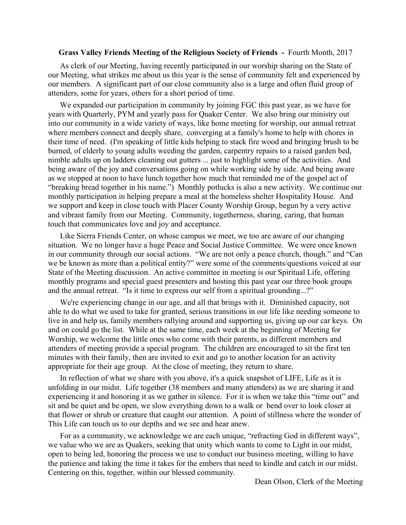#### **Grass Valley Friends Meeting of the Religious Society of Friends -** Fourth Month, 2017

As clerk of our Meeting, having recently participated in our worship sharing on the State of our Meeting, what strikes me about us this year is the sense of community felt and experienced by our members. A significant part of our close community also is a large and often fluid group of attenders, some for years, others for a short period of time.

We expanded our participation in community by joining FGC this past year, as we have for years with Quarterly, PYM and yearly pass for Quaker Center. We also bring our ministry out into our community in a wide variety of ways, like home meeting for worship, our annual retreat where members connect and deeply share, converging at a family's home to help with chores in their time of need. (I'm speaking of little kids helping to stack fire wood and bringing brush to be burned, of elderly to young adults weeding the garden, carpentry repairs to a raised garden bed, nimble adults up on ladders cleaning out gutters ... just to highlight some of the activities. And being aware of the joy and conversations going on while working side by side. And being aware as we stopped at noon to have lunch together how much that reminded me of the gospel act of "breaking bread together in his name.") Monthly potlucks is also a new activity. We continue our monthly participation in helping prepare a meal at the homeless shelter Hospitality House. And we support and keep in close touch with Placer County Worship Group, begun by a very active and vibrant family from our Meeting. Community, togetherness, sharing, caring, that human touch that communicates love and joy and acceptance.

Like Sierra Friends Center, on whose campus we meet, we too are aware of our changing situation. We no longer have a huge Peace and Social Justice Committee. We were once known in our community through our social actions. "We are not only a peace church, though." and "Can we be known as more than a political entity?" were some of the comments/questions voiced at our State of the Meeting discussion. An active committee in meeting is our Spiritual Life, offering monthly programs and special guest presenters and hosting this past year our three book groups and the annual retreat. "Is it time to express our self from a spiritual grounding...?"

We're experiencing change in our age, and all that brings with it. Diminished capacity, not able to do what we used to take for granted, serious transitions in our life like needing someone to live in and help us, family members rallying around and supporting us, giving up our car keys. On and on could go the list. While at the same time, each week at the beginning of Meeting for Worship, we welcome the little ones who come with their parents, as different members and attenders of meeting provide a special program. The children are encouraged to sit the first ten minutes with their family, then are invited to exit and go to another location for an activity appropriate for their age group. At the close of meeting, they return to share.

In reflection of what we share with you above, it's a quick snapshot of LIFE, Life as it is unfolding in our midst. Life together (38 members and many attenders) as we are sharing it and experiencing it and honoring it as we gather in silence. For it is when we take this "time out" and sit and be quiet and be open, we slow everything down to a walk or bend over to look closer at that flower or shrub or creature that caught our attention. A point of stillness where the wonder of This Life can touch us to our depths and we see and hear anew.

For as a community, we acknowledge we are each unique, "refracting God in different ways", we value who we are as Quakers, seeking that unity which wants to come to Light in our midst, open to being led, honoring the process we use to conduct our business meeting, willing to have the patience and taking the time it takes for the embers that need to kindle and catch in our midst. Centering on this, together, within our blessed community.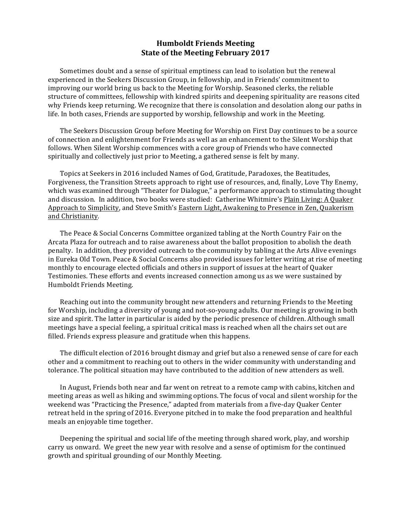#### **Humboldt Friends Meeting State of the Meeting February 2017**

Sometimes doubt and a sense of spiritual emptiness can lead to isolation but the renewal experienced in the Seekers Discussion Group, in fellowship, and in Friends' commitment to improving our world bring us back to the Meeting for Worship. Seasoned clerks, the reliable structure of committees, fellowship with kindred spirits and deepening spirituality are reasons cited why Friends keep returning. We recognize that there is consolation and desolation along our paths in life. In both cases, Friends are supported by worship, fellowship and work in the Meeting.

The Seekers Discussion Group before Meeting for Worship on First Day continues to be a source of connection and enlightenment for Friends as well as an enhancement to the Silent Worship that follows. When Silent Worship commences with a core group of Friends who have connected spiritually and collectively just prior to Meeting, a gathered sense is felt by many.

Topics at Seekers in 2016 included Names of God, Gratitude, Paradoxes, the Beatitudes, Forgiveness, the Transition Streets approach to right use of resources, and, finally, Love Thy Enemy, which was examined through "Theater for Dialogue," a performance approach to stimulating thought and discussion. In addition, two books were studied: Catherine Whitmire's Plain Living: A Quaker Approach to Simplicity, and Steve Smith's Eastern Light, Awakening to Presence in Zen, Quakerism and Christianity.

The Peace & Social Concerns Committee organized tabling at the North Country Fair on the Arcata Plaza for outreach and to raise awareness about the ballot proposition to abolish the death penalty. In addition, they provided outreach to the community by tabling at the Arts Alive evenings in Eureka Old Town. Peace & Social Concerns also provided issues for letter writing at rise of meeting monthly to encourage elected officials and others in support of issues at the heart of Quaker Testimonies. These efforts and events increased connection among us as we were sustained by Humboldt Friends Meeting.

Reaching out into the community brought new attenders and returning Friends to the Meeting for Worship, including a diversity of young and not-so-young adults. Our meeting is growing in both size and spirit. The latter in particular is aided by the periodic presence of children. Although small meetings have a special feeling, a spiritual critical mass is reached when all the chairs set out are filled. Friends express pleasure and gratitude when this happens.

The difficult election of 2016 brought dismay and grief but also a renewed sense of care for each other and a commitment to reaching out to others in the wider community with understanding and tolerance. The political situation may have contributed to the addition of new attenders as well.

In August, Friends both near and far went on retreat to a remote camp with cabins, kitchen and meeting areas as well as hiking and swimming options. The focus of vocal and silent worship for the weekend was "Practicing the Presence," adapted from materials from a five-day Quaker Center retreat held in the spring of 2016. Everyone pitched in to make the food preparation and healthful meals an enjoyable time together.

Deepening the spiritual and social life of the meeting through shared work, play, and worship carry us onward. We greet the new year with resolve and a sense of optimism for the continued growth and spiritual grounding of our Monthly Meeting.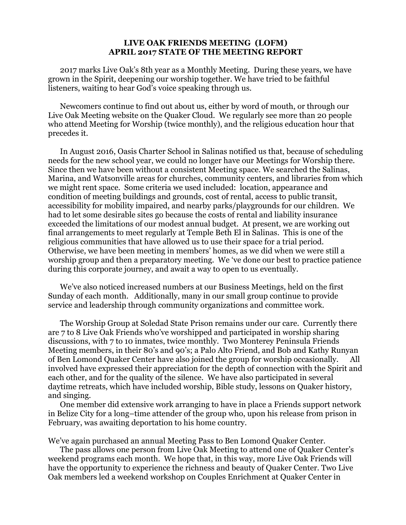#### **LIVE OAK FRIENDS MEETING (LOFM) APRIL 2017 STATE OF THE MEETING REPORT**

2017 marks Live Oak's 8th year as a Monthly Meeting. During these years, we have grown in the Spirit, deepening our worship together. We have tried to be faithful listeners, waiting to hear God's voice speaking through us.

Newcomers continue to find out about us, either by word of mouth, or through our Live Oak Meeting website on the Quaker Cloud. We regularly see more than 20 people who attend Meeting for Worship (twice monthly), and the religious education hour that precedes it.

In August 2016, Oasis Charter School in Salinas notified us that, because of scheduling needs for the new school year, we could no longer have our Meetings for Worship there. Since then we have been without a consistent Meeting space. We searched the Salinas, Marina, and Watsonville areas for churches, community centers, and libraries from which we might rent space. Some criteria we used included: location, appearance and condition of meeting buildings and grounds, cost of rental, access to public transit, accessibility for mobility impaired, and nearby parks/playgrounds for our children. We had to let some desirable sites go because the costs of rental and liability insurance exceeded the limitations of our modest annual budget. At present, we are working out final arrangements to meet regularly at Temple Beth El in Salinas. This is one of the religious communities that have allowed us to use their space for a trial period. Otherwise, we have been meeting in members' homes, as we did when we were still a worship group and then a preparatory meeting. We 've done our best to practice patience during this corporate journey, and await a way to open to us eventually.

We've also noticed increased numbers at our Business Meetings, held on the first Sunday of each month. Additionally, many in our small group continue to provide service and leadership through community organizations and committee work.

The Worship Group at Soledad State Prison remains under our care. Currently there are 7 to 8 Live Oak Friends who've worshipped and participated in worship sharing discussions, with 7 to 10 inmates, twice monthly. Two Monterey Peninsula Friends Meeting members, in their 80's and 90's; a Palo Alto Friend, and Bob and Kathy Runyan of Ben Lomond Quaker Center have also joined the group for worship occasionally. All involved have expressed their appreciation for the depth of connection with the Spirit and each other, and for the quality of the silence. We have also participated in several daytime retreats, which have included worship, Bible study, lessons on Quaker history, and singing.

One member did extensive work arranging to have in place a Friends support network in Belize City for a long–time attender of the group who, upon his release from prison in February, was awaiting deportation to his home country.

We've again purchased an annual Meeting Pass to Ben Lomond Quaker Center.

The pass allows one person from Live Oak Meeting to attend one of Quaker Center's weekend programs each month. We hope that, in this way, more Live Oak Friends will have the opportunity to experience the richness and beauty of Quaker Center. Two Live Oak members led a weekend workshop on Couples Enrichment at Quaker Center in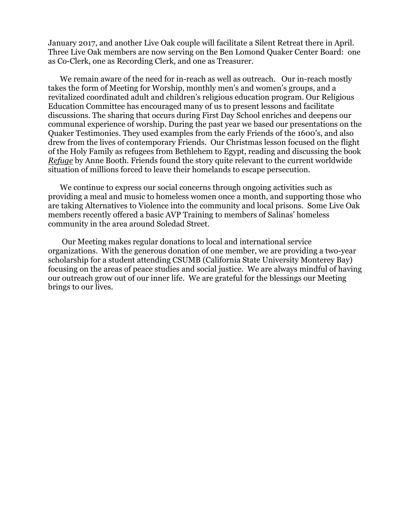January 2017, and another Live Oak couple will facilitate a Silent Retreat there in April. Three Live Oak members are now serving on the Ben Lomond Quaker Center Board: one as Co-Clerk, one as Recording Clerk, and one as Treasurer.

We remain aware of the need for in-reach as well as outreach. Our in-reach mostly takes the form of Meeting for Worship, monthly men's and women's groups, and a revitalized coordinated adult and children's religious education program. Our Religious Education Committee has encouraged many of us to present lessons and facilitate discussions. The sharing that occurs during First Day School enriches and deepens our communal experience of worship. During the past year we based our presentations on the Quaker Testimonies. They used examples from the early Friends of the 1600's, and also drew from the lives of contemporary Friends. Our Christmas lesson focused on the flight of the Holy Family as refugees from Bethlehem to Egypt, reading and discussing the book *Refuge* by Anne Booth. Friends found the story quite relevant to the current worldwide situation of millions forced to leave their homelands to escape persecution.

We continue to express our social concerns through ongoing activities such as providing a meal and music to homeless women once a month, and supporting those who are taking Alternatives to Violence into the community and local prisons. Some Live Oak members recently offered a basic AVP Training to members of Salinas' homeless community in the area around Soledad Street.

Our Meeting makes regular donations to local and international service organizations. With the generous donation of one member, we are providing a two-year scholarship for a student attending CSUMB (California State University Monterey Bay) focusing on the areas of peace studies and social justice. We are always mindful of having our outreach grow out of our inner life. We are grateful for the blessings our Meeting brings to our lives.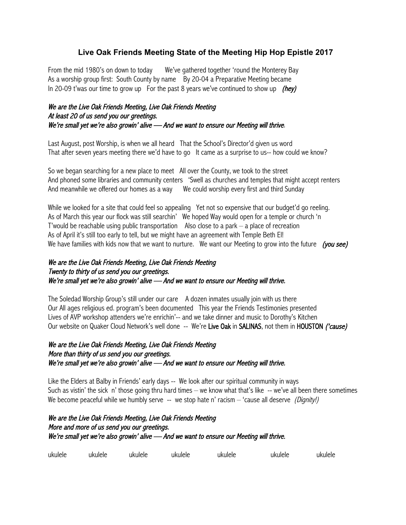# **Live Oak Friends Meeting State of the Meeting Hip Hop Epistle 2017**

From the mid 1980's on down to today We've gathered together 'round the Monterey Bay As a worship group first: South County by name By 20-04 a Preparative Meeting became In 20-09 t'was our time to grow up For the past 8 years we've continued to show up  $(hev)$ 

## We are the Live Oak Friends Meeting, Live Oak Friends Meeting At least 20 of us send you our greetings. We're small yet we're also growin' alive — And we want to ensure our Meeting will thrive.

Last August, post Worship, is when we all heard That the School's Director'd given us word That after seven years meeting there we'd have to go It came as a surprise to us-- how could we know?

So we began searching for a new place to meet All over the County, we took to the street And phoned some libraries and community centers 'Swell as churches and temples that might accept renters And meanwhile we offered our homes as a way We could worship every first and third Sunday

While we looked for a site that could feel so appealing Yet not so expensive that our budget'd go reeling. As of March this year our flock was still searchin' We hoped Way would open for a temple or church 'n T'would be reachable using public transportation Also close to a park – a place of recreation As of April it's still too early to tell, but we might have an agreement with Temple Beth El! We have families with kids now that we want to nurture. We want our Meeting to grow into the future (you see)

### We are the Live Oak Friends Meeting, Live Oak Friends Meeting Twenty to thirty of us send you our greetings. We're small yet we're also growin' alive - And we want to ensure our Meeting will thrive.

The Soledad Worship Group's still under our care A dozen inmates usually join with us there Our All ages religious ed. program's been documented This year the Friends Testimonies presented Lives of AVP workshop attenders we're enrichin'-- and we take dinner and music to Dorothy's Kitchen Our website on Quaker Cloud Network's well done -- We're Live Oak in SALINAS, not them in HOUSTON ('cause)

### We are the Live Oak Friends Meeting, Live Oak Friends Meeting More than thirty of us send you our greetings. We're small yet we're also growin' alive — And we want to ensure our Meeting will thrive.

Like the Elders at Balby in Friends' early days -- We look after our spiritual community in ways Such as vistin' the sick n' those going thru hard times – we know what that's like  $-$ - we've all been there sometimes We become peaceful while we humbly serve  $-$ - we stop hate n' racism  $-$  'cause all deserve (Dignity!)

# We are the Live Oak Friends Meeting, Live Oak Friends Meeting More and more of us send you our greetings. We're small yet we're also growin' alive — And we want to ensure our Meeting will thrive.

| uk<br>Ш |  |
|---------|--|
|---------|--|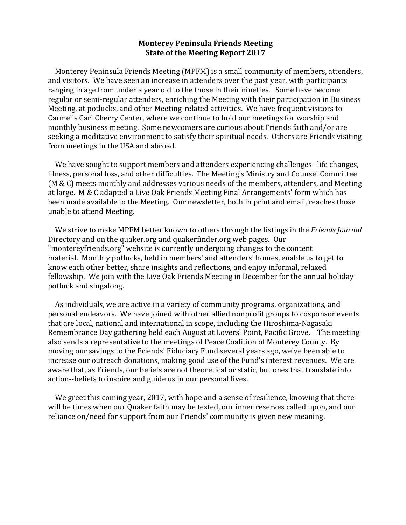### **Monterey Peninsula Friends Meeting State of the Meeting Report 2017**

Monterey Peninsula Friends Meeting (MPFM) is a small community of members, attenders, and visitors. We have seen an increase in attenders over the past year, with participants ranging in age from under a year old to the those in their nineties. Some have become regular or semi-regular attenders, enriching the Meeting with their participation in Business Meeting, at potlucks, and other Meeting-related activities. We have frequent visitors to Carmel's Carl Cherry Center, where we continue to hold our meetings for worship and monthly business meeting. Some newcomers are curious about Friends faith and/or are seeking a meditative environment to satisfy their spiritual needs. Others are Friends visiting from meetings in the USA and abroad.

We have sought to support members and attenders experiencing challenges--life changes, illness, personal loss, and other difficulties. The Meeting's Ministry and Counsel Committee ( $M & C$ ) meets monthly and addresses various needs of the members, attenders, and Meeting at large. M & C adapted a Live Oak Friends Meeting Final Arrangements' form which has been made available to the Meeting. Our newsletter, both in print and email, reaches those unable to attend Meeting.

We strive to make MPFM better known to others through the listings in the *Friends Journal* Directory and on the quaker.org and quakerfinder.org web pages. Our "montereyfriends.org" website is currently undergoing changes to the content material. Monthly potlucks, held in members' and attenders' homes, enable us to get to know each other better, share insights and reflections, and enjoy informal, relaxed fellowship. We join with the Live Oak Friends Meeting in December for the annual holiday potluck and singalong.

As individuals, we are active in a variety of community programs, organizations, and personal endeavors. We have joined with other allied nonprofit groups to cosponsor events that are local, national and international in scope, including the Hiroshima-Nagasaki Remembrance Day gathering held each August at Lovers' Point, Pacific Grove. The meeting also sends a representative to the meetings of Peace Coalition of Monterey County. By moving our savings to the Friends' Fiduciary Fund several years ago, we've been able to increase our outreach donations, making good use of the Fund's interest revenues. We are aware that, as Friends, our beliefs are not theoretical or static, but ones that translate into action--beliefs to inspire and guide us in our personal lives.

We greet this coming year, 2017, with hope and a sense of resilience, knowing that there will be times when our Quaker faith may be tested, our inner reserves called upon, and our reliance on/need for support from our Friends' community is given new meaning.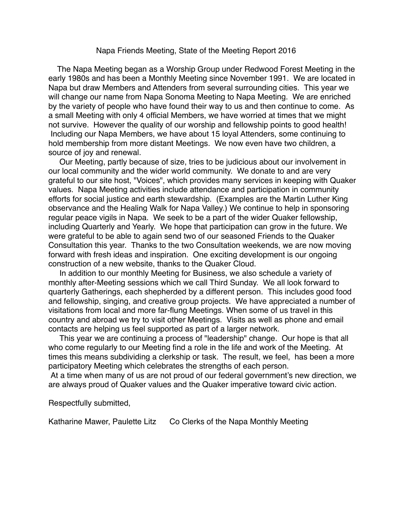#### Napa Friends Meeting, State of the Meeting Report 2016

 The Napa Meeting began as a Worship Group under Redwood Forest Meeting in the early 1980s and has been a Monthly Meeting since November 1991. We are located in Napa but draw Members and Attenders from several surrounding cities. This year we will change our name from Napa Sonoma Meeting to Napa Meeting. We are enriched by the variety of people who have found their way to us and then continue to come. As a small Meeting with only 4 official Members, we have worried at times that we might not survive. However the quality of our worship and fellowship points to good health! Including our Napa Members, we have about 15 loyal Attenders, some continuing to hold membership from more distant Meetings. We now even have two children, a source of joy and renewal.

Our Meeting, partly because of size, tries to be judicious about our involvement in our local community and the wider world community. We donate to and are very grateful to our site host, "Voices", which provides many services in keeping with Quaker values. Napa Meeting activities include attendance and participation in community efforts for social justice and earth stewardship. (Examples are the Martin Luther King observance and the Healing Walk for Napa Valley.) We continue to help in sponsoring regular peace vigils in Napa. We seek to be a part of the wider Quaker fellowship, including Quarterly and Yearly. We hope that participation can grow in the future. We were grateful to be able to again send two of our seasoned Friends to the Quaker Consultation this year. Thanks to the two Consultation weekends, we are now moving forward with fresh ideas and inspiration. One exciting development is our ongoing construction of a new website, thanks to the Quaker Cloud.

In addition to our monthly Meeting for Business, we also schedule a variety of monthly after-Meeting sessions which we call Third Sunday. We all look forward to quarterly Gatherings, each shepherded by a different person. This includes good food and fellowship, singing, and creative group projects. We have appreciated a number of visitations from local and more far-flung Meetings. When some of us travel in this country and abroad we try to visit other Meetings. Visits as well as phone and email contacts are helping us feel supported as part of a larger network.

This year we are continuing a process of "leadership" change. Our hope is that all who come regularly to our Meeting find a role in the life and work of the Meeting. At times this means subdividing a clerkship or task. The result, we feel, has been a more participatory Meeting which celebrates the strengths of each person.

At a time when many of us are not proud of our federal government's new direction, we are always proud of Quaker values and the Quaker imperative toward civic action.

Respectfully submitted,

Katharine Mawer, Paulette Litz Co Clerks of the Napa Monthly Meeting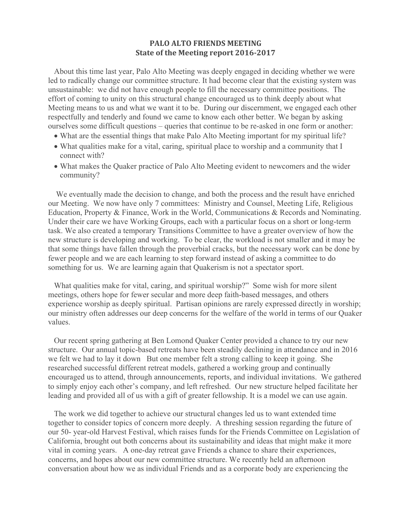### **PALO ALTO FRIENDS MEETING State of the Meeting report 2016-2017**

About this time last year, Palo Alto Meeting was deeply engaged in deciding whether we were led to radically change our committee structure. It had become clear that the existing system was unsustainable: we did not have enough people to fill the necessary committee positions. The effort of coming to unity on this structural change encouraged us to think deeply about what Meeting means to us and what we want it to be. During our discernment, we engaged each other respectfully and tenderly and found we came to know each other better. We began by asking ourselves some difficult questions – queries that continue to be re-asked in one form or another:

- What are the essential things that make Palo Alto Meeting important for my spiritual life?
- What qualities make for a vital, caring, spiritual place to worship and a community that I connect with?
- What makes the Quaker practice of Palo Alto Meeting evident to newcomers and the wider community?

We eventually made the decision to change, and both the process and the result have enriched our Meeting. We now have only 7 committees: Ministry and Counsel, Meeting Life, Religious Education, Property & Finance, Work in the World, Communications & Records and Nominating. Under their care we have Working Groups, each with a particular focus on a short or long-term task. We also created a temporary Transitions Committee to have a greater overview of how the new structure is developing and working. To be clear, the workload is not smaller and it may be that some things have fallen through the proverbial cracks, but the necessary work can be done by fewer people and we are each learning to step forward instead of asking a committee to do something for us. We are learning again that Quakerism is not a spectator sport.

What qualities make for vital, caring, and spiritual worship?" Some wish for more silent meetings, others hope for fewer secular and more deep faith-based messages, and others experience worship as deeply spiritual. Partisan opinions are rarely expressed directly in worship; our ministry often addresses our deep concerns for the welfare of the world in terms of our Quaker values.

Our recent spring gathering at Ben Lomond Quaker Center provided a chance to try our new structure. Our annual topic-based retreats have been steadily declining in attendance and in 2016 we felt we had to lay it down But one member felt a strong calling to keep it going. She researched successful different retreat models, gathered a working group and continually encouraged us to attend, through announcements, reports, and individual invitations. We gathered to simply enjoy each other's company, and left refreshed. Our new structure helped facilitate her leading and provided all of us with a gift of greater fellowship. It is a model we can use again.

The work we did together to achieve our structural changes led us to want extended time together to consider topics of concern more deeply. A threshing session regarding the future of our 50- year-old Harvest Festival, which raises funds for the Friends Committee on Legislation of California, brought out both concerns about its sustainability and ideas that might make it more vital in coming years. A one-day retreat gave Friends a chance to share their experiences, concerns, and hopes about our new committee structure. We recently held an afternoon conversation about how we as individual Friends and as a corporate body are experiencing the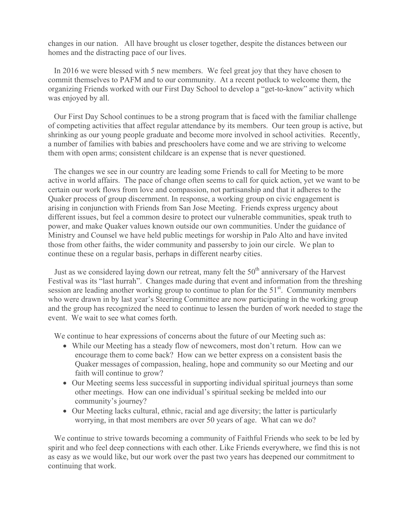changes in our nation. All have brought us closer together, despite the distances between our homes and the distracting pace of our lives.

In 2016 we were blessed with 5 new members. We feel great joy that they have chosen to commit themselves to PAFM and to our community. At a recent potluck to welcome them, the organizing Friends worked with our First Day School to develop a "get-to-know" activity which was enjoyed by all.

Our First Day School continues to be a strong program that is faced with the familiar challenge of competing activities that affect regular attendance by its members. Our teen group is active, but shrinking as our young people graduate and become more involved in school activities. Recently, a number of families with babies and preschoolers have come and we are striving to welcome them with open arms; consistent childcare is an expense that is never questioned.

The changes we see in our country are leading some Friends to call for Meeting to be more active in world affairs. The pace of change often seems to call for quick action, yet we want to be certain our work flows from love and compassion, not partisanship and that it adheres to the Quaker process of group discernment. In response, a working group on civic engagement is arising in conjunction with Friends from San Jose Meeting. Friends express urgency about different issues, but feel a common desire to protect our vulnerable communities, speak truth to power, and make Quaker values known outside our own communities. Under the guidance of Ministry and Counsel we have held public meetings for worship in Palo Alto and have invited those from other faiths, the wider community and passersby to join our circle. We plan to continue these on a regular basis, perhaps in different nearby cities.

Just as we considered laying down our retreat, many felt the 50<sup>th</sup> anniversary of the Harvest Festival was its "last hurrah". Changes made during that event and information from the threshing session are leading another working group to continue to plan for the  $51<sup>st</sup>$ . Community members who were drawn in by last year's Steering Committee are now participating in the working group and the group has recognized the need to continue to lessen the burden of work needed to stage the event. We wait to see what comes forth.

We continue to hear expressions of concerns about the future of our Meeting such as:

- While our Meeting has a steady flow of newcomers, most don't return. How can we encourage them to come back? How can we better express on a consistent basis the Quaker messages of compassion, healing, hope and community so our Meeting and our faith will continue to grow?
- Our Meeting seems less successful in supporting individual spiritual journeys than some other meetings. How can one individual's spiritual seeking be melded into our community's journey?
- Our Meeting lacks cultural, ethnic, racial and age diversity; the latter is particularly worrying, in that most members are over 50 years of age. What can we do?

We continue to strive towards becoming a community of Faithful Friends who seek to be led by spirit and who feel deep connections with each other. Like Friends everywhere, we find this is not as easy as we would like, but our work over the past two years has deepened our commitment to continuing that work.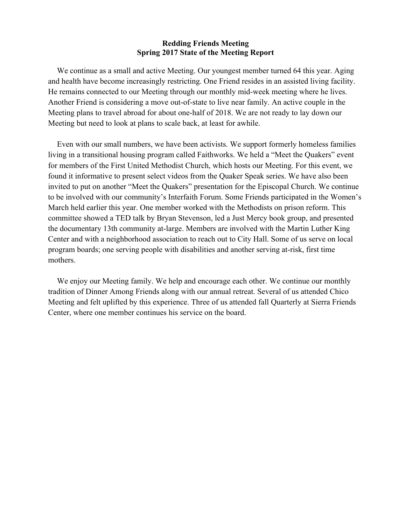#### **Redding Friends Meeting Spring 2017 State of the Meeting Report**

We continue as a small and active Meeting. Our youngest member turned 64 this year. Aging and health have become increasingly restricting. One Friend resides in an assisted living facility. He remains connected to our Meeting through our monthly mid-week meeting where he lives. Another Friend is considering a move out-of-state to live near family. An active couple in the Meeting plans to travel abroad for about one-half of 2018. We are not ready to lay down our Meeting but need to look at plans to scale back, at least for awhile.

Even with our small numbers, we have been activists. We support formerly homeless families living in a transitional housing program called Faithworks. We held a "Meet the Quakers" event for members of the First United Methodist Church, which hosts our Meeting. For this event, we found it informative to present select videos from the Quaker Speak series. We have also been invited to put on another "Meet the Quakers" presentation for the Episcopal Church. We continue to be involved with our community's Interfaith Forum. Some Friends participated in the Women's March held earlier this year. One member worked with the Methodists on prison reform. This committee showed a TED talk by Bryan Stevenson, led a Just Mercy book group, and presented the documentary 13th community at-large. Members are involved with the Martin Luther King Center and with a neighborhood association to reach out to City Hall. Some of us serve on local program boards; one serving people with disabilities and another serving at-risk, first time mothers.

We enjoy our Meeting family. We help and encourage each other. We continue our monthly tradition of Dinner Among Friends along with our annual retreat. Several of us attended Chico Meeting and felt uplifted by this experience. Three of us attended fall Quarterly at Sierra Friends Center, where one member continues his service on the board.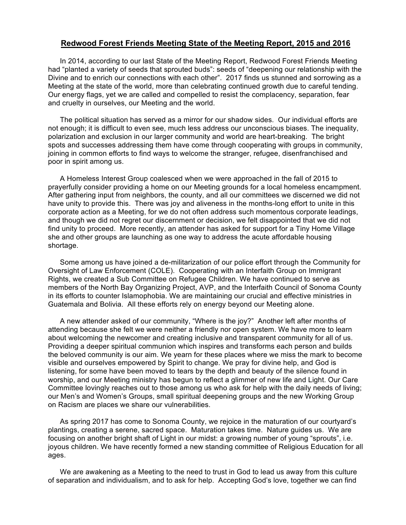#### **Redwood Forest Friends Meeting State of the Meeting Report, 2015 and 2016**

In 2014, according to our last State of the Meeting Report, Redwood Forest Friends Meeting had "planted a variety of seeds that sprouted buds": seeds of "deepening our relationship with the Divine and to enrich our connections with each other". 2017 finds us stunned and sorrowing as a Meeting at the state of the world, more than celebrating continued growth due to careful tending. Our energy flags, yet we are called and compelled to resist the complacency, separation, fear and cruelty in ourselves, our Meeting and the world.

The political situation has served as a mirror for our shadow sides. Our individual efforts are not enough; it is difficult to even see, much less address our unconscious biases. The inequality, polarization and exclusion in our larger community and world are heart-breaking. The bright spots and successes addressing them have come through cooperating with groups in community, joining in common efforts to find ways to welcome the stranger, refugee, disenfranchised and poor in spirit among us.

A Homeless Interest Group coalesced when we were approached in the fall of 2015 to prayerfully consider providing a home on our Meeting grounds for a local homeless encampment. After gathering input from neighbors, the county, and all our committees we discerned we did not have unity to provide this. There was joy and aliveness in the months-long effort to unite in this corporate action as a Meeting, for we do not often address such momentous corporate leadings, and though we did not regret our discernment or decision, we felt disappointed that we did not find unity to proceed. More recently, an attender has asked for support for a Tiny Home Village she and other groups are launching as one way to address the acute affordable housing shortage.

Some among us have joined a de-militarization of our police effort through the Community for Oversight of Law Enforcement (COLE). Cooperating with an Interfaith Group on Immigrant Rights, we created a Sub Committee on Refugee Children. We have continued to serve as members of the North Bay Organizing Project, AVP, and the Interfaith Council of Sonoma County in its efforts to counter Islamophobia. We are maintaining our crucial and effective ministries in Guatemala and Bolivia. All these efforts rely on energy beyond our Meeting alone.

A new attender asked of our community, "Where is the joy?" Another left after months of attending because she felt we were neither a friendly nor open system. We have more to learn about welcoming the newcomer and creating inclusive and transparent community for all of us. Providing a deeper spiritual communion which inspires and transforms each person and builds the beloved community is our aim. We yearn for these places where we miss the mark to become visible and ourselves empowered by Spirit to change. We pray for divine help, and God is listening, for some have been moved to tears by the depth and beauty of the silence found in worship, and our Meeting ministry has begun to reflect a glimmer of new life and Light. Our Care Committee lovingly reaches out to those among us who ask for help with the daily needs of living; our Men's and Women's Groups, small spiritual deepening groups and the new Working Group on Racism are places we share our vulnerabilities.

As spring 2017 has come to Sonoma County, we rejoice in the maturation of our courtyard's plantings, creating a serene, sacred space. Maturation takes time. Nature guides us. We are focusing on another bright shaft of Light in our midst: a growing number of young "sprouts", i.e. joyous children. We have recently formed a new standing committee of Religious Education for all ages.

We are awakening as a Meeting to the need to trust in God to lead us away from this culture of separation and individualism, and to ask for help. Accepting God's love, together we can find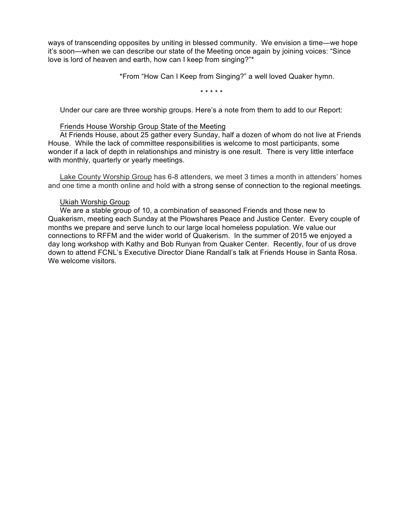ways of transcending opposites by uniting in blessed community. We envision a time—we hope it's soon—when we can describe our state of the Meeting once again by joining voices: "Since love is lord of heaven and earth, how can I keep from singing?"\*

\*From "How Can I Keep from Singing?" a well loved Quaker hymn.

\* \* \* \* \*

Under our care are three worship groups. Here's a note from them to add to our Report:

#### Friends House Worship Group State of the Meeting

At Friends House, about 25 gather every Sunday, half a dozen of whom do not live at Friends House. While the lack of committee responsibilities is welcome to most participants, some wonder if a lack of depth in relationships and ministry is one result. There is very little interface with monthly, quarterly or yearly meetings.

Lake County Worship Group has 6-8 attenders, we meet 3 times a month in attenders' homes and one time a month online and hold with a strong sense of connection to the regional meetings*.*

#### Ukiah Worship Group

We are a stable group of 10, a combination of seasoned Friends and those new to Quakerism, meeting each Sunday at the Plowshares Peace and Justice Center. Every couple of months we prepare and serve lunch to our large local homeless population. We value our connections to RFFM and the wider world of Quakerism. In the summer of 2015 we enjoyed a day long workshop with Kathy and Bob Runyan from Quaker Center. Recently, four of us drove down to attend FCNL's Executive Director Diane Randall's talk at Friends House in Santa Rosa. We welcome visitors.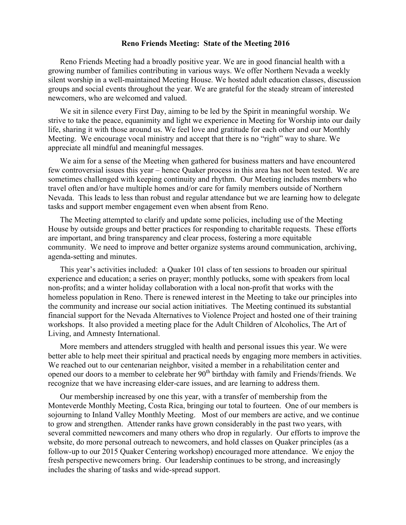#### **Reno Friends Meeting: State of the Meeting 2016**

Reno Friends Meeting had a broadly positive year. We are in good financial health with a growing number of families contributing in various ways. We offer Northern Nevada a weekly silent worship in a well-maintained Meeting House. We hosted adult education classes, discussion groups and social events throughout the year. We are grateful for the steady stream of interested newcomers, who are welcomed and valued.

We sit in silence every First Day, aiming to be led by the Spirit in meaningful worship. We strive to take the peace, equanimity and light we experience in Meeting for Worship into our daily life, sharing it with those around us. We feel love and gratitude for each other and our Monthly Meeting. We encourage vocal ministry and accept that there is no "right" way to share. We appreciate all mindful and meaningful messages.

We aim for a sense of the Meeting when gathered for business matters and have encountered few controversial issues this year – hence Quaker process in this area has not been tested. We are sometimes challenged with keeping continuity and rhythm. Our Meeting includes members who travel often and/or have multiple homes and/or care for family members outside of Northern Nevada. This leads to less than robust and regular attendance but we are learning how to delegate tasks and support member engagement even when absent from Reno.

The Meeting attempted to clarify and update some policies, including use of the Meeting House by outside groups and better practices for responding to charitable requests. These efforts are important, and bring transparency and clear process, fostering a more equitable community. We need to improve and better organize systems around communication, archiving, agenda-setting and minutes.

This year's activities included: a Quaker 101 class of ten sessions to broaden our spiritual experience and education; a series on prayer; monthly potlucks, some with speakers from local non-profits; and a winter holiday collaboration with a local non-profit that works with the homeless population in Reno. There is renewed interest in the Meeting to take our principles into the community and increase our social action initiatives. The Meeting continued its substantial financial support for the Nevada Alternatives to Violence Project and hosted one of their training workshops. It also provided a meeting place for the Adult Children of Alcoholics, The Art of Living, and Amnesty International.

More members and attenders struggled with health and personal issues this year. We were better able to help meet their spiritual and practical needs by engaging more members in activities. We reached out to our centenarian neighbor, visited a member in a rehabilitation center and opened our doors to a member to celebrate her  $90<sup>th</sup>$  birthday with family and Friends/friends. We recognize that we have increasing elder-care issues, and are learning to address them.

Our membership increased by one this year, with a transfer of membership from the Monteverde Monthly Meeting, Costa Rica, bringing our total to fourteen. One of our members is sojourning to Inland Valley Monthly Meeting. Most of our members are active, and we continue to grow and strengthen. Attender ranks have grown considerably in the past two years, with several committed newcomers and many others who drop in regularly. Our efforts to improve the website, do more personal outreach to newcomers, and hold classes on Quaker principles (as a follow-up to our 2015 Quaker Centering workshop) encouraged more attendance. We enjoy the fresh perspective newcomers bring. Our leadership continues to be strong, and increasingly includes the sharing of tasks and wide-spread support.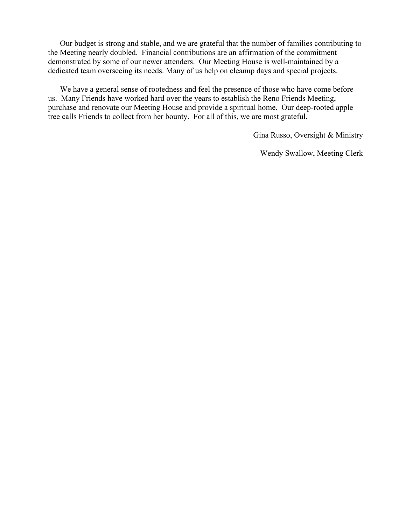Our budget is strong and stable, and we are grateful that the number of families contributing to the Meeting nearly doubled. Financial contributions are an affirmation of the commitment demonstrated by some of our newer attenders. Our Meeting House is well-maintained by a dedicated team overseeing its needs. Many of us help on cleanup days and special projects.

We have a general sense of rootedness and feel the presence of those who have come before us. Many Friends have worked hard over the years to establish the Reno Friends Meeting, purchase and renovate our Meeting House and provide a spiritual home. Our deep-rooted apple tree calls Friends to collect from her bounty. For all of this, we are most grateful.

Gina Russo, Oversight & Ministry

Wendy Swallow, Meeting Clerk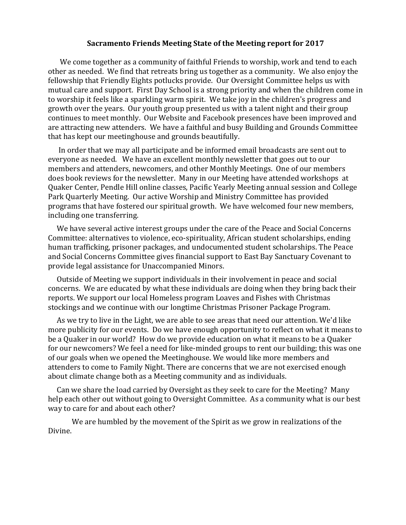#### Sacramento Friends Meeting State of the Meeting report for 2017

We come together as a community of faithful Friends to worship, work and tend to each other as needed. We find that retreats bring us together as a community. We also enjoy the fellowship that Friendly Eights potlucks provide. Our Oversight Committee helps us with mutual care and support. First Day School is a strong priority and when the children come in to worship it feels like a sparkling warm spirit. We take joy in the children's progress and growth over the years. Our youth group presented us with a talent night and their group continues to meet monthly. Our Website and Facebook presences have been improved and are attracting new attenders. We have a faithful and busy Building and Grounds Committee that has kept our meetinghouse and grounds beautifully.

In order that we may all participate and be informed email broadcasts are sent out to everyone as needed. We have an excellent monthly newsletter that goes out to our members and attenders, newcomers, and other Monthly Meetings. One of our members does book reviews for the newsletter. Many in our Meeting have attended workshops at Quaker Center, Pendle Hill online classes, Pacific Yearly Meeting annual session and College Park Quarterly Meeting. Our active Worship and Ministry Committee has provided programs that have fostered our spiritual growth. We have welcomed four new members, including one transferring.

We have several active interest groups under the care of the Peace and Social Concerns Committee: alternatives to violence, eco-spirituality, African student scholarships, ending human trafficking, prisoner packages, and undocumented student scholarships. The Peace and Social Concerns Committee gives financial support to East Bay Sanctuary Covenant to provide legal assistance for Unaccompanied Minors.

Outside of Meeting we support individuals in their involvement in peace and social concerns. We are educated by what these individuals are doing when they bring back their reports. We support our local Homeless program Loaves and Fishes with Christmas stockings and we continue with our longtime Christmas Prisoner Package Program.

As we try to live in the Light, we are able to see areas that need our attention. We'd like more publicity for our events. Do we have enough opportunity to reflect on what it means to be a Quaker in our world? How do we provide education on what it means to be a Quaker for our newcomers? We feel a need for like-minded groups to rent our building; this was one of our goals when we opened the Meetinghouse. We would like more members and attenders to come to Family Night. There are concerns that we are not exercised enough about climate change both as a Meeting community and as individuals.

Can we share the load carried by Oversight as they seek to care for the Meeting? Many help each other out without going to Oversight Committee. As a community what is our best way to care for and about each other?

We are humbled by the movement of the Spirit as we grow in realizations of the Divine.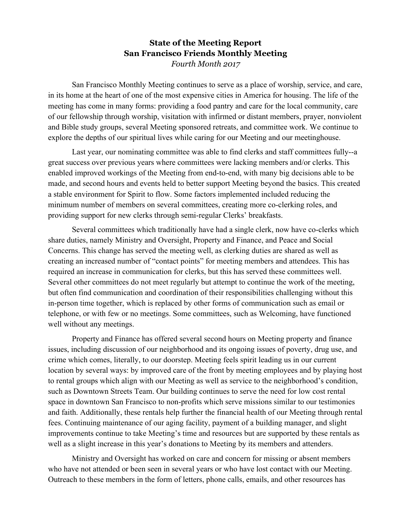# **State of the Meeting Report San Francisco Friends Monthly Meeting** *Fourth Month 2017*

San Francisco Monthly Meeting continues to serve as a place of worship, service, and care, in its home at the heart of one of the most expensive cities in America for housing. The life of the meeting has come in many forms: providing a food pantry and care for the local community, care of our fellowship through worship, visitation with infirmed or distant members, prayer, nonviolent and Bible study groups, several Meeting sponsored retreats, and committee work. We continue to explore the depths of our spiritual lives while caring for our Meeting and our meetinghouse.

Last year, our nominating committee was able to find clerks and staff committees fully--a great success over previous years where committees were lacking members and/or clerks. This enabled improved workings of the Meeting from end-to-end, with many big decisions able to be made, and second hours and events held to better support Meeting beyond the basics. This created a stable environment for Spirit to flow. Some factors implemented included reducing the minimum number of members on several committees, creating more co-clerking roles, and providing support for new clerks through semi-regular Clerks' breakfasts.

Several committees which traditionally have had a single clerk, now have co-clerks which share duties, namely Ministry and Oversight, Property and Finance, and Peace and Social Concerns. This change has served the meeting well, as clerking duties are shared as well as creating an increased number of "contact points" for meeting members and attendees. This has required an increase in communication for clerks, but this has served these committees well. Several other committees do not meet regularly but attempt to continue the work of the meeting, but often find communication and coordination of their responsibilities challenging without this in-person time together, which is replaced by other forms of communication such as email or telephone, or with few or no meetings. Some committees, such as Welcoming, have functioned well without any meetings.

Property and Finance has offered several second hours on Meeting property and finance issues, including discussion of our neighborhood and its ongoing issues of poverty, drug use, and crime which comes, literally, to our doorstep. Meeting feels spirit leading us in our current location by several ways: by improved care of the front by meeting employees and by playing host to rental groups which align with our Meeting as well as service to the neighborhood's condition, such as Downtown Streets Team. Our building continues to serve the need for low cost rental space in downtown San Francisco to non-profits which serve missions similar to our testimonies and faith. Additionally, these rentals help further the financial health of our Meeting through rental fees. Continuing maintenance of our aging facility, payment of a building manager, and slight improvements continue to take Meeting's time and resources but are supported by these rentals as well as a slight increase in this year's donations to Meeting by its members and attenders.

Ministry and Oversight has worked on care and concern for missing or absent members who have not attended or been seen in several years or who have lost contact with our Meeting. Outreach to these members in the form of letters, phone calls, emails, and other resources has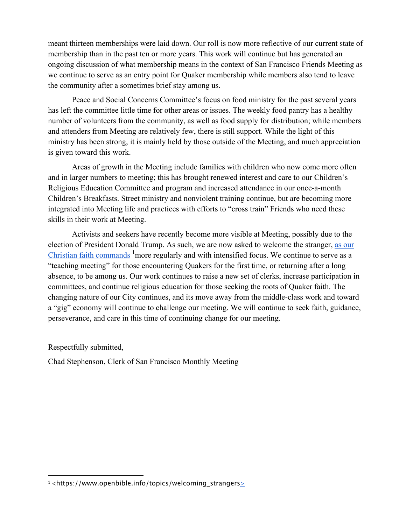meant thirteen memberships were laid down. Our roll is now more reflective of our current state of membership than in the past ten or more years. This work will continue but has generated an ongoing discussion of what membership means in the context of San Francisco Friends Meeting as we continue to serve as an entry point for Quaker membership while members also tend to leave the community after a sometimes brief stay among us.

Peace and Social Concerns Committee's focus on food ministry for the past several years has left the committee little time for other areas or issues. The weekly food pantry has a healthy number of volunteers from the community, as well as food supply for distribution; while members and attenders from Meeting are relatively few, there is still support. While the light of this ministry has been strong, it is mainly held by those outside of the Meeting, and much appreciation is given toward this work.

Areas of growth in the Meeting include families with children who now come more often and in larger numbers to meeting; this has brought renewed interest and care to our Children's Religious Education Committee and program and increased attendance in our once-a-month Children's Breakfasts. Street ministry and nonviolent training continue, but are becoming more integrated into Meeting life and practices with efforts to "cross train" Friends who need these skills in their work at Meeting.

Activists and seekers have recently become more visible at Meeting, possibly due to the election of President Donald Trump. As such, we are now asked to welcome the stranger, as our Christian faith commands <sup>1</sup> more regularly and with intensified focus. We continue to serve as a "teaching meeting" for those encountering Quakers for the first time, or returning after a long absence, to be among us. Our work continues to raise a new set of clerks, increase participation in committees, and continue religious education for those seeking the roots of Quaker faith. The changing nature of our City continues, and its move away from the middle-class work and toward a "gig" economy will continue to challenge our meeting. We will continue to seek faith, guidance, perseverance, and care in this time of continuing change for our meeting.

Respectfully submitted,

 

Chad Stephenson, Clerk of San Francisco Monthly Meeting

<sup>1&</sup>lt;https://www.openbible.info/topics/welcoming\_strangers>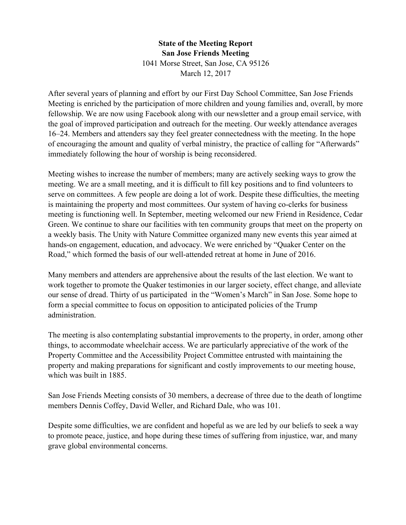# **State of the Meeting Report San Jose Friends Meeting** 1041 Morse Street, San Jose, CA 95126 March 12, 2017

After several years of planning and effort by our First Day School Committee, San Jose Friends Meeting is enriched by the participation of more children and young families and, overall, by more fellowship. We are now using Facebook along with our newsletter and a group email service, with the goal of improved participation and outreach for the meeting. Our weekly attendance averages 16–24. Members and attenders say they feel greater connectedness with the meeting. In the hope of encouraging the amount and quality of verbal ministry, the practice of calling for "Afterwards" immediately following the hour of worship is being reconsidered.

Meeting wishes to increase the number of members; many are actively seeking ways to grow the meeting. We are a small meeting, and it is difficult to fill key positions and to find volunteers to serve on committees. A few people are doing a lot of work. Despite these difficulties, the meeting is maintaining the property and most committees. Our system of having co-clerks for business meeting is functioning well. In September, meeting welcomed our new Friend in Residence, Cedar Green. We continue to share our facilities with ten community groups that meet on the property on a weekly basis. The Unity with Nature Committee organized many new events this year aimed at hands-on engagement, education, and advocacy. We were enriched by "Quaker Center on the Road," which formed the basis of our well-attended retreat at home in June of 2016.

Many members and attenders are apprehensive about the results of the last election. We want to work together to promote the Quaker testimonies in our larger society, effect change, and alleviate our sense of dread. Thirty of us participated in the "Women's March" in San Jose. Some hope to form a special committee to focus on opposition to anticipated policies of the Trump administration.

The meeting is also contemplating substantial improvements to the property, in order, among other things, to accommodate wheelchair access. We are particularly appreciative of the work of the Property Committee and the Accessibility Project Committee entrusted with maintaining the property and making preparations for significant and costly improvements to our meeting house, which was built in 1885.

San Jose Friends Meeting consists of 30 members, a decrease of three due to the death of longtime members Dennis Coffey, David Weller, and Richard Dale, who was 101.

Despite some difficulties, we are confident and hopeful as we are led by our beliefs to seek a way to promote peace, justice, and hope during these times of suffering from injustice, war, and many grave global environmental concerns.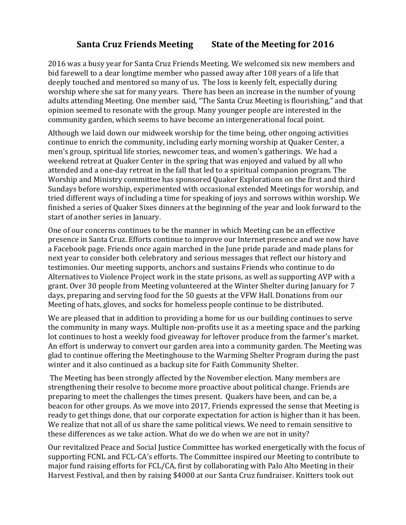# **Santa Cruz Friends Meeting State of the Meeting for 2016**

2016 was a busy year for Santa Cruz Friends Meeting. We welcomed six new members and bid farewell to a dear longtime member who passed away after 108 years of a life that deeply touched and mentored so many of us. The loss is keenly felt, especially during worship where she sat for many years. There has been an increase in the number of young adults attending Meeting. One member said, "The Santa Cruz Meeting is flourishing," and that opinion seemed to resonate with the group. Many younger people are interested in the community garden, which seems to have become an intergenerational focal point.

Although we laid down our midweek worship for the time being, other ongoing activities continue to enrich the community, including early morning worship at Quaker Center, a men's group, spiritual life stories, newcomer teas, and women's gatherings. We had a weekend retreat at Quaker Center in the spring that was enjoyed and valued by all who attended and a one-day retreat in the fall that led to a spiritual companion program. The Worship and Ministry committee has sponsored Quaker Explorations on the first and third Sundays before worship, experimented with occasional extended Meetings for worship, and tried different ways of including a time for speaking of joys and sorrows within worship. We finished a series of Quaker Sixes dinners at the beginning of the year and look forward to the start of another series in January.

One of our concerns continues to be the manner in which Meeting can be an effective presence in Santa Cruz. Efforts continue to improve our Internet presence and we now have a Facebook page. Friends once again marched in the June pride parade and made plans for next year to consider both celebratory and serious messages that reflect our history and testimonies. Our meeting supports, anchors and sustains Friends who continue to do Alternatives to Violence Project work in the state prisons, as well as supporting AVP with a grant. Over 30 people from Meeting volunteered at the Winter Shelter during January for 7 days, preparing and serving food for the 50 guests at the VFW Hall. Donations from our Meeting of hats, gloves, and socks for homeless people continue to be distributed.

We are pleased that in addition to providing a home for us our building continues to serve the community in many ways. Multiple non-profits use it as a meeting space and the parking lot continues to host a weekly food giveaway for leftover produce from the farmer's market. An effort is underway to convert our garden area into a community garden. The Meeting was glad to continue offering the Meetinghouse to the Warming Shelter Program during the past winter and it also continued as a backup site for Faith Community Shelter.

The Meeting has been strongly affected by the November election. Many members are strengthening their resolve to become more proactive about political change. Friends are preparing to meet the challenges the times present. Quakers have been, and can be, a beacon for other groups. As we move into 2017, Friends expressed the sense that Meeting is ready to get things done, that our corporate expectation for action is higher than it has been. We realize that not all of us share the same political views. We need to remain sensitive to these differences as we take action. What do we do when we are not in unity?

Our revitalized Peace and Social Justice Committee has worked energetically with the focus of supporting FCNL and FCL-CA's efforts. The Committee inspired our Meeting to contribute to major fund raising efforts for FCL/CA, first by collaborating with Palo Alto Meeting in their Harvest Festival, and then by raising \$4000 at our Santa Cruz fundraiser. Knitters took out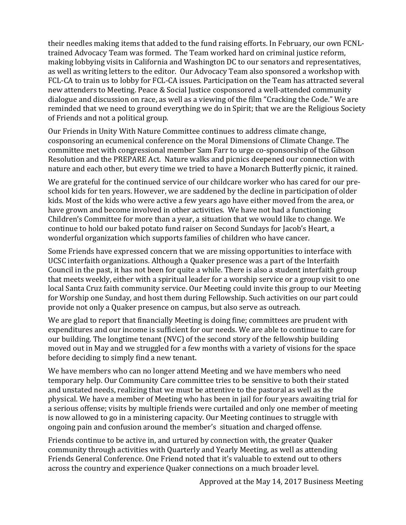their needles making items that added to the fund raising efforts. In February, our own FCNLtrained Advocacy Team was formed. The Team worked hard on criminal justice reform, making lobbying visits in California and Washington DC to our senators and representatives, as well as writing letters to the editor. Our Advocacy Team also sponsored a workshop with FCL-CA to train us to lobby for FCL-CA issues. Participation on the Team has attracted several new attenders to Meeting. Peace & Social Justice cosponsored a well-attended community dialogue and discussion on race, as well as a viewing of the film "Cracking the Code." We are reminded that we need to ground everything we do in Spirit; that we are the Religious Society of Friends and not a political group.

Our Friends in Unity With Nature Committee continues to address climate change, cosponsoring an ecumenical conference on the Moral Dimensions of Climate Change. The committee met with congressional member Sam Farr to urge co-sponsorship of the Gibson Resolution and the PREPARE Act. Nature walks and picnics deepened our connection with nature and each other, but every time we tried to have a Monarch Butterfly picnic, it rained.

We are grateful for the continued service of our childcare worker who has cared for our preschool kids for ten years. However, we are saddened by the decline in participation of older kids. Most of the kids who were active a few years ago have either moved from the area, or have grown and become involved in other activities. We have not had a functioning Children's Committee for more than a year, a situation that we would like to change. We continue to hold our baked potato fund raiser on Second Sundays for Jacob's Heart, a wonderful organization which supports families of children who have cancer.

Some Friends have expressed concern that we are missing opportunities to interface with UCSC interfaith organizations. Although a Quaker presence was a part of the Interfaith Council in the past, it has not been for quite a while. There is also a student interfaith group that meets weekly, either with a spiritual leader for a worship service or a group visit to one local Santa Cruz faith community service. Our Meeting could invite this group to our Meeting for Worship one Sunday, and host them during Fellowship. Such activities on our part could provide not only a Quaker presence on campus, but also serve as outreach.

We are glad to report that financially Meeting is doing fine; committees are prudent with expenditures and our income is sufficient for our needs. We are able to continue to care for our building. The longtime tenant (NVC) of the second story of the fellowship building moved out in May and we struggled for a few months with a variety of visions for the space before deciding to simply find a new tenant.

We have members who can no longer attend Meeting and we have members who need temporary help. Our Community Care committee tries to be sensitive to both their stated and unstated needs, realizing that we must be attentive to the pastoral as well as the physical. We have a member of Meeting who has been in jail for four years awaiting trial for a serious offense; visits by multiple friends were curtailed and only one member of meeting is now allowed to go in a ministering capacity. Our Meeting continues to struggle with ongoing pain and confusion around the member's situation and charged offense.

Friends continue to be active in, and urtured by connection with, the greater Quaker community through activities with Quarterly and Yearly Meeting, as well as attending Friends General Conference. One Friend noted that it's valuable to extend out to others across the country and experience Quaker connections on a much broader level.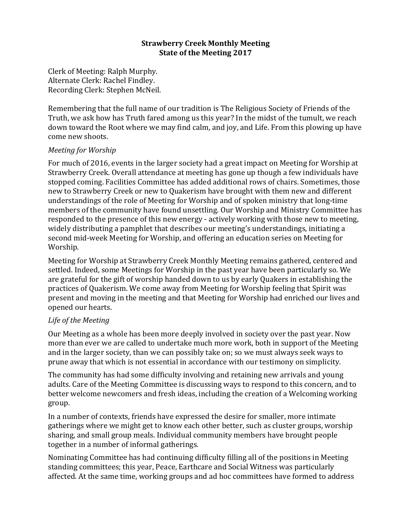## **Strawberry Creek Monthly Meeting State of the Meeting 2017**

Clerk of Meeting: Ralph Murphy. Alternate Clerk: Rachel Findley. Recording Clerk: Stephen McNeil.

Remembering that the full name of our tradition is The Religious Society of Friends of the Truth, we ask how has Truth fared among us this year? In the midst of the tumult, we reach down toward the Root where we may find calm, and joy, and Life. From this plowing up have come new shoots.

## *Meeting for Worship*

For much of 2016, events in the larger society had a great impact on Meeting for Worship at Strawberry Creek. Overall attendance at meeting has gone up though a few individuals have stopped coming. Facilities Committee has added additional rows of chairs. Sometimes. those new to Strawberry Creek or new to Quakerism have brought with them new and different understandings of the role of Meeting for Worship and of spoken ministry that long-time members of the community have found unsettling. Our Worship and Ministry Committee has responded to the presence of this new energy - actively working with those new to meeting, widely distributing a pamphlet that describes our meeting's understandings, initiating a second mid-week Meeting for Worship, and offering an education series on Meeting for Worship.

Meeting for Worship at Strawberry Creek Monthly Meeting remains gathered, centered and settled. Indeed, some Meetings for Worship in the past year have been particularly so. We are grateful for the gift of worship handed down to us by early Quakers in establishing the practices of Quakerism. We come away from Meeting for Worship feeling that Spirit was present and moving in the meeting and that Meeting for Worship had enriched our lives and opened our hearts.

## Life of the Meeting

Our Meeting as a whole has been more deeply involved in society over the past year. Now more than ever we are called to undertake much more work, both in support of the Meeting and in the larger society, than we can possibly take on; so we must always seek ways to prune away that which is not essential in accordance with our testimony on simplicity.

The community has had some difficulty involving and retaining new arrivals and young adults. Care of the Meeting Committee is discussing ways to respond to this concern, and to better welcome newcomers and fresh ideas, including the creation of a Welcoming working group.

In a number of contexts, friends have expressed the desire for smaller, more intimate gatherings where we might get to know each other better, such as cluster groups, worship sharing, and small group meals. Individual community members have brought people together in a number of informal gatherings.

Nominating Committee has had continuing difficulty filling all of the positions in Meeting standing committees; this year, Peace, Earthcare and Social Witness was particularly affected. At the same time, working groups and ad hoc committees have formed to address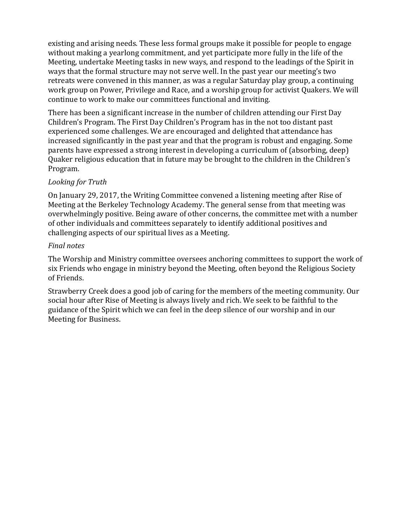existing and arising needs. These less formal groups make it possible for people to engage without making a yearlong commitment, and yet participate more fully in the life of the Meeting, undertake Meeting tasks in new ways, and respond to the leadings of the Spirit in ways that the formal structure may not serve well. In the past year our meeting's two retreats were convened in this manner, as was a regular Saturday play group, a continuing work group on Power, Privilege and Race, and a worship group for activist Quakers. We will continue to work to make our committees functional and inviting.

There has been a significant increase in the number of children attending our First Day Children's Program. The First Day Children's Program has in the not too distant past experienced some challenges. We are encouraged and delighted that attendance has increased significantly in the past year and that the program is robust and engaging. Some parents have expressed a strong interest in developing a curriculum of (absorbing, deep) Quaker religious education that in future may be brought to the children in the Children's Program.

# *Looking for Truth*

On January 29, 2017, the Writing Committee convened a listening meeting after Rise of Meeting at the Berkeley Technology Academy. The general sense from that meeting was overwhelmingly positive. Being aware of other concerns, the committee met with a number of other individuals and committees separately to identify additional positives and challenging aspects of our spiritual lives as a Meeting.

# *Final notes*

The Worship and Ministry committee oversees anchoring committees to support the work of six Friends who engage in ministry beyond the Meeting, often beyond the Religious Society of Friends.

Strawberry Creek does a good job of caring for the members of the meeting community. Our social hour after Rise of Meeting is always lively and rich. We seek to be faithful to the guidance of the Spirit which we can feel in the deep silence of our worship and in our Meeting for Business.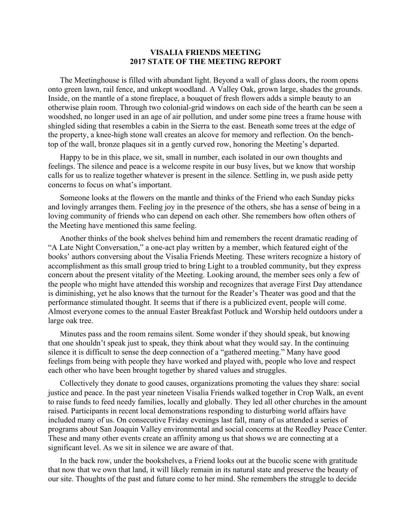#### **VISALIA FRIENDS MEETING 2017 STATE OF THE MEETING REPORT**

The Meetinghouse is filled with abundant light. Beyond a wall of glass doors, the room opens onto green lawn, rail fence, and unkept woodland. A Valley Oak, grown large, shades the grounds. Inside, on the mantle of a stone fireplace, a bouquet of fresh flowers adds a simple beauty to an otherwise plain room. Through two colonial-grid windows on each side of the hearth can be seen a woodshed, no longer used in an age of air pollution, and under some pine trees a frame house with shingled siding that resembles a cabin in the Sierra to the east. Beneath some trees at the edge of the property, a knee-high stone wall creates an alcove for memory and reflection. On the benchtop of the wall, bronze plaques sit in a gently curved row, honoring the Meeting's departed.

Happy to be in this place, we sit, small in number, each isolated in our own thoughts and feelings. The silence and peace is a welcome respite in our busy lives, but we know that worship calls for us to realize together whatever is present in the silence. Settling in, we push aside petty concerns to focus on what's important.

Someone looks at the flowers on the mantle and thinks of the Friend who each Sunday picks and lovingly arranges them. Feeling joy in the presence of the others, she has a sense of being in a loving community of friends who can depend on each other. She remembers how often others of the Meeting have mentioned this same feeling.

Another thinks of the book shelves behind him and remembers the recent dramatic reading of "A Late Night Conversation," a one-act play written by a member, which featured eight of the books' authors conversing about the Visalia Friends Meeting. These writers recognize a history of accomplishment as this small group tried to bring Light to a troubled community, but they express concern about the present vitality of the Meeting. Looking around, the member sees only a few of the people who might have attended this worship and recognizes that average First Day attendance is diminishing, yet he also knows that the turnout for the Reader's Theater was good and that the performance stimulated thought. It seems that if there is a publicized event, people will come. Almost everyone comes to the annual Easter Breakfast Potluck and Worship held outdoors under a large oak tree.

Minutes pass and the room remains silent. Some wonder if they should speak, but knowing that one shouldn't speak just to speak, they think about what they would say. In the continuing silence it is difficult to sense the deep connection of a "gathered meeting." Many have good feelings from being with people they have worked and played with, people who love and respect each other who have been brought together by shared values and struggles.

Collectively they donate to good causes, organizations promoting the values they share: social justice and peace. In the past year nineteen Visalia Friends walked together in Crop Walk, an event to raise funds to feed needy families, locally and globally. They led all other churches in the amount raised. Participants in recent local demonstrations responding to disturbing world affairs have included many of us. On consecutive Friday evenings last fall, many of us attended a series of programs about San Joaquin Valley environmental and social concerns at the Reedley Peace Center. These and many other events create an affinity among us that shows we are connecting at a significant level. As we sit in silence we are aware of that.

In the back row, under the bookshelves, a Friend looks out at the bucolic scene with gratitude that now that we own that land, it will likely remain in its natural state and preserve the beauty of our site. Thoughts of the past and future come to her mind. She remembers the struggle to decide